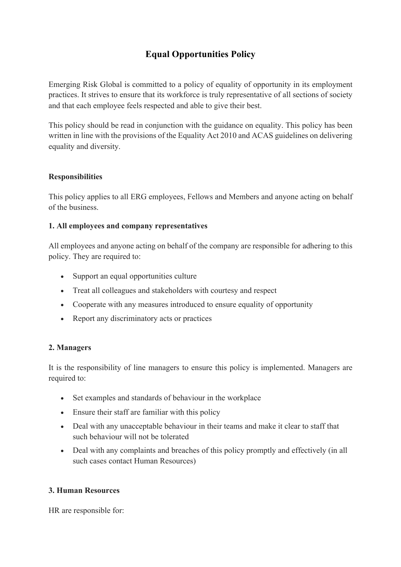## **Equal Opportunities Policy**

Emerging Risk Global is committed to a policy of equality of opportunity in its employment practices. It strives to ensure that its workforce is truly representative of all sections of society and that each employee feels respected and able to give their best.

This policy should be read in conjunction with the guidance on equality. This policy has been written in line with the provisions of the Equality Act 2010 and ACAS guidelines on delivering equality and diversity.

#### **Responsibilities**

This policy applies to all ERG employees, Fellows and Members and anyone acting on behalf of the business.

#### **1. All employees and company representatives**

All employees and anyone acting on behalf of the company are responsible for adhering to this policy. They are required to:

- Support an equal opportunities culture
- Treat all colleagues and stakeholders with courtesy and respect
- Cooperate with any measures introduced to ensure equality of opportunity
- Report any discriminatory acts or practices

#### **2. Managers**

It is the responsibility of line managers to ensure this policy is implemented. Managers are required to:

- Set examples and standards of behaviour in the workplace
- Ensure their staff are familiar with this policy
- Deal with any unacceptable behaviour in their teams and make it clear to staff that such behaviour will not be tolerated
- Deal with any complaints and breaches of this policy promptly and effectively (in all such cases contact Human Resources)

#### **3. Human Resources**

HR are responsible for: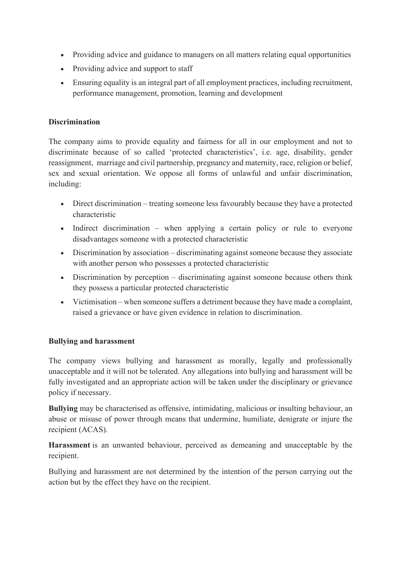- Providing advice and guidance to managers on all matters relating equal opportunities
- Providing advice and support to staff
- Ensuring equality is an integral part of all employment practices, including recruitment, performance management, promotion, learning and development

#### **Discrimination**

The company aims to provide equality and fairness for all in our employment and not to discriminate because of so called 'protected characteristics', i.e. age, disability, gender reassignment, marriage and civil partnership, pregnancy and maternity, race, religion or belief, sex and sexual orientation. We oppose all forms of unlawful and unfair discrimination, including:

- Direct discrimination treating someone less favourably because they have a protected characteristic
- Indirect discrimination when applying a certain policy or rule to everyone disadvantages someone with a protected characteristic
- Discrimination by association discriminating against someone because they associate with another person who possesses a protected characteristic
- Discrimination by perception discriminating against someone because others think they possess a particular protected characteristic
- Victimisation when someone suffers a detriment because they have made a complaint, raised a grievance or have given evidence in relation to discrimination.

## **Bullying and harassment**

The company views bullying and harassment as morally, legally and professionally unacceptable and it will not be tolerated. Any allegations into bullying and harassment will be fully investigated and an appropriate action will be taken under the disciplinary or grievance policy if necessary.

**Bullying** may be characterised as offensive, intimidating, malicious or insulting behaviour, an abuse or misuse of power through means that undermine, humiliate, denigrate or injure the recipient (ACAS).

**Harassment** is an unwanted behaviour, perceived as demeaning and unacceptable by the recipient.

Bullying and harassment are not determined by the intention of the person carrying out the action but by the effect they have on the recipient.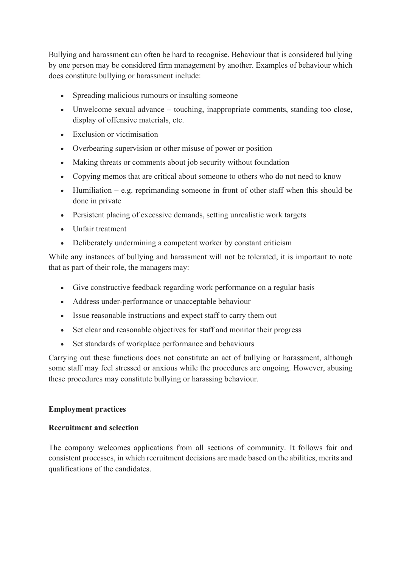Bullying and harassment can often be hard to recognise. Behaviour that is considered bullying by one person may be considered firm management by another. Examples of behaviour which does constitute bullying or harassment include:

- Spreading malicious rumours or insulting someone
- Unwelcome sexual advance touching, inappropriate comments, standing too close, display of offensive materials, etc.
- Exclusion or victimisation
- Overbearing supervision or other misuse of power or position
- Making threats or comments about job security without foundation
- Copying memos that are critical about someone to others who do not need to know
- Humiliation e.g. reprimanding someone in front of other staff when this should be done in private
- Persistent placing of excessive demands, setting unrealistic work targets
- Unfair treatment
- Deliberately undermining a competent worker by constant criticism

While any instances of bullying and harassment will not be tolerated, it is important to note that as part of their role, the managers may:

- Give constructive feedback regarding work performance on a regular basis
- Address under-performance or unacceptable behaviour
- Issue reasonable instructions and expect staff to carry them out
- Set clear and reasonable objectives for staff and monitor their progress
- Set standards of workplace performance and behaviours

Carrying out these functions does not constitute an act of bullying or harassment, although some staff may feel stressed or anxious while the procedures are ongoing. However, abusing these procedures may constitute bullying or harassing behaviour.

## **Employment practices**

## **Recruitment and selection**

The company welcomes applications from all sections of community. It follows fair and consistent processes, in which recruitment decisions are made based on the abilities, merits and qualifications of the candidates.